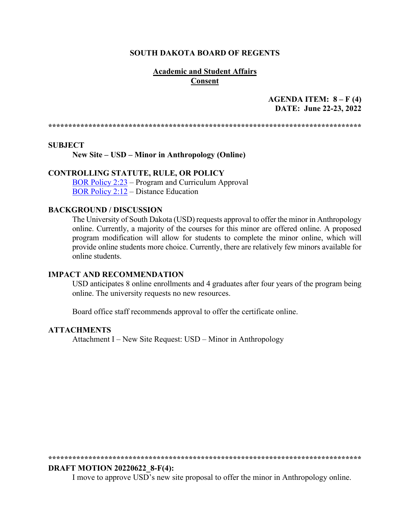#### **SOUTH DAKOTA BOARD OF REGENTS**

## **Academic and Student Affairs Consent**

# AGENDA ITEM:  $8 - F(4)$ DATE: June 22-23, 2022

#### **SUBJECT**

New Site – USD – Minor in Anthropology (Online)

## **CONTROLLING STATUTE, RULE, OR POLICY**

BOR Policy 2:23 – Program and Curriculum Approval **BOR Policy 2:12 – Distance Education** 

#### **BACKGROUND / DISCUSSION**

The University of South Dakota (USD) requests approval to offer the minor in Anthropology online. Currently, a majority of the courses for this minor are offered online. A proposed program modification will allow for students to complete the minor online, which will provide online students more choice. Currently, there are relatively few minors available for online students.

#### **IMPACT AND RECOMMENDATION**

USD anticipates 8 online enrollments and 4 graduates after four years of the program being online. The university requests no new resources.

Board office staff recommends approval to offer the certificate online.

#### **ATTACHMENTS**

Attachment I – New Site Request: USD – Minor in Anthropology

#### **DRAFT MOTION 20220622 8-F(4):**

I move to approve USD's new site proposal to offer the minor in Anthropology online.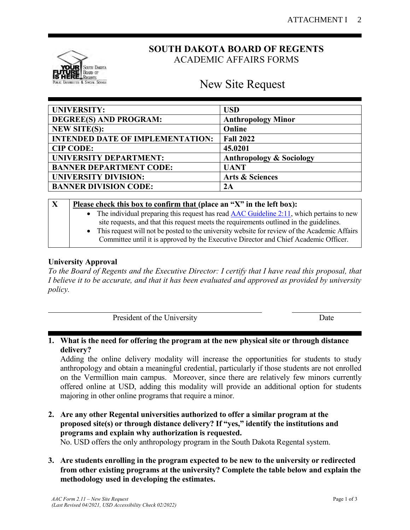

# **SOUTH DAKOTA BOARD OF REGENTS** ACADEMIC AFFAIRS FORMS

# New Site Request

| <b>UNIVERSITY:</b>                      | <b>USD</b>                          |
|-----------------------------------------|-------------------------------------|
| DEGREE(S) AND PROGRAM:                  | <b>Anthropology Minor</b>           |
| <b>NEW SITE(S):</b>                     | Online                              |
| <b>INTENDED DATE OF IMPLEMENTATION:</b> | <b>Fall 2022</b>                    |
| <b>CIP CODE:</b>                        | 45.0201                             |
| <b>UNIVERSITY DEPARTMENT:</b>           | <b>Anthropology &amp; Sociology</b> |
| <b>BANNER DEPARTMENT CODE:</b>          | <b>UANT</b>                         |
| <b>UNIVERSITY DIVISION:</b>             | <b>Arts &amp; Sciences</b>          |
| <b>BANNER DIVISION CODE:</b>            | 2A                                  |

| $\mathbf X$ | Please check this box to confirm that (place an "X" in the left box):                                                                                                                            |
|-------------|--------------------------------------------------------------------------------------------------------------------------------------------------------------------------------------------------|
|             | • The individual preparing this request has read $\triangle AC$ Guideline 2:11, which pertains to new<br>site requests, and that this request meets the requirements outlined in the guidelines. |
|             | • This request will not be posted to the university website for review of the Academic Affairs<br>Committee until it is approved by the Executive Director and Chief Academic Officer.           |

# **University Approval**

*To the Board of Regents and the Executive Director: I certify that I have read this proposal, that I believe it to be accurate, and that it has been evaluated and approved as provided by university policy.*

| President of the University                                                            | Date |
|----------------------------------------------------------------------------------------|------|
|                                                                                        |      |
| What is the need for offering the pregram of the new physical site or through distance |      |

### **1. What is the need for offering the program at the new physical site or through distance delivery?**

Adding the online delivery modality will increase the opportunities for students to study anthropology and obtain a meaningful credential, particularly if those students are not enrolled on the Vermillion main campus. Moreover, since there are relatively few minors currently offered online at USD, adding this modality will provide an additional option for students majoring in other online programs that require a minor.

- **2. Are any other Regental universities authorized to offer a similar program at the proposed site(s) or through distance delivery? If "yes," identify the institutions and programs and explain why authorization is requested.** No. USD offers the only anthropology program in the South Dakota Regental system.
	-
- **3. Are students enrolling in the program expected to be new to the university or redirected from other existing programs at the university? Complete the table below and explain the methodology used in developing the estimates.**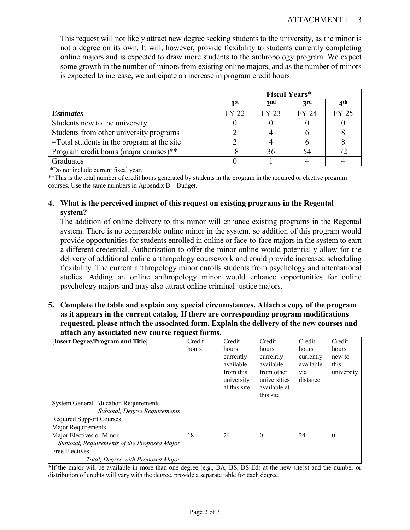This request will not likely attract new degree seeking students to the university, as the minor is not a degree on its own. It will, however, provide flexibility to students currently completing online majors and is expected to draw more students to the anthropology program. We expect some growth in the number of minors from existing online majors, and as the number of minors is expected to increase, we anticipate an increase in program credit hours.

|                                               | <b>Fiscal Years*</b> |                 |              |                 |
|-----------------------------------------------|----------------------|-----------------|--------------|-----------------|
|                                               | 1st                  | 2 <sub>nd</sub> | <b>3rd</b>   | 4 <sup>th</sup> |
| <b>Estimates</b>                              | <b>FY 22</b>         | <b>FY 23</b>    | <b>FY 24</b> | <b>FY 25</b>    |
| Students new to the university                |                      |                 |              |                 |
| Students from other university programs       |                      |                 |              |                 |
| $=$ Total students in the program at the site |                      |                 |              |                 |
| Program credit hours (major courses)**        |                      | 36              | 54           | 72              |
| <b>Graduates</b>                              |                      |                 |              |                 |

\*Do not include current fiscal year.

\*\*This is the total number of credit hours generated by students in the program in the required or elective program courses. Use the same numbers in Appendix B – Budget.

# **4. What is the perceived impact of this request on existing programs in the Regental system?**

The addition of online delivery to this minor will enhance existing programs in the Regental system. There is no comparable online minor in the system, so addition of this program would provide opportunities for students enrolled in online or face-to-face majors in the system to earn a different credential. Authorization to offer the minor online would potentially allow for the delivery of additional online anthropology coursework and could provide increased scheduling flexibility. The current anthropology minor enrolls students from psychology and international studies. Adding an online anthropology minor would enhance opportunities for online psychology majors and may also attract online criminal justice majors.

**5. Complete the table and explain any special circumstances. Attach a copy of the program as it appears in the current catalog. If there are corresponding program modifications requested, please attach the associated form. Explain the delivery of the new courses and attach any associated new course request forms.**

| [Insert Degree/Program and Title]            | Credit | Credit                     | Credit                       | Credit             | Credit          |
|----------------------------------------------|--------|----------------------------|------------------------------|--------------------|-----------------|
|                                              | hours  | hours<br>currently         | hours<br>currently           | hours<br>currently | hours<br>new to |
|                                              |        | available                  | available                    | available          | this            |
|                                              |        | from this                  | from other                   | via                | university      |
|                                              |        | university<br>at this site | universities<br>available at | distance           |                 |
|                                              |        |                            | this site                    |                    |                 |
| <b>System General Education Requirements</b> |        |                            |                              |                    |                 |
| Subtotal, Degree Requirements                |        |                            |                              |                    |                 |
| <b>Required Support Courses</b>              |        |                            |                              |                    |                 |
| Major Requirements                           |        |                            |                              |                    |                 |
| Major Electives or Minor                     | 18     | 24                         | $\Omega$                     | 24                 | $\theta$        |
| Subtotal, Requirements of the Proposed Major |        |                            |                              |                    |                 |
| Free Electives                               |        |                            |                              |                    |                 |
| Total, Degree with Proposed Major            |        |                            |                              |                    |                 |

\*If the major will be available in more than one degree (e.g., BA, BS, BS Ed) at the new site(s) and the number or distribution of credits will vary with the degree, provide a separate table for each degree.